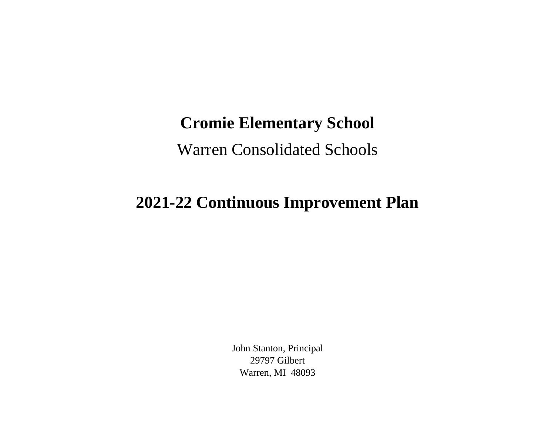## **Cromie Elementary School**

Warren Consolidated Schools

## **2021-22 Continuous Improvement Plan**

John Stanton, Principal 29797 Gilbert Warren, MI 48093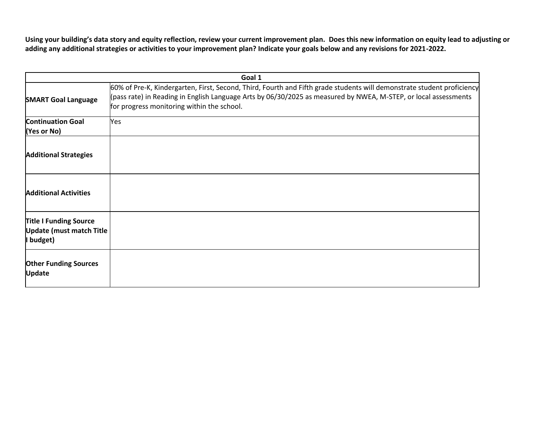**Using your building's data story and equity reflection, review your current improvement plan. Does this new information on equity lead to adjusting or adding any additional strategies or activities to your improvement plan? Indicate your goals below and any revisions for 2021-2022.**

| Goal 1                                                                        |                                                                                                                                                                                                                                                                                         |  |
|-------------------------------------------------------------------------------|-----------------------------------------------------------------------------------------------------------------------------------------------------------------------------------------------------------------------------------------------------------------------------------------|--|
| <b>SMART Goal Language</b>                                                    | 60% of Pre-K, Kindergarten, First, Second, Third, Fourth and Fifth grade students will demonstrate student proficiency<br>(pass rate) in Reading in English Language Arts by 06/30/2025 as measured by NWEA, M-STEP, or local assessments<br>for progress monitoring within the school. |  |
| <b>Continuation Goal</b><br>(Yes or No)                                       | Yes                                                                                                                                                                                                                                                                                     |  |
| <b>Additional Strategies</b>                                                  |                                                                                                                                                                                                                                                                                         |  |
| <b>Additional Activities</b>                                                  |                                                                                                                                                                                                                                                                                         |  |
| <b>Title I Funding Source</b><br><b>Update (must match Title</b><br>I budget) |                                                                                                                                                                                                                                                                                         |  |
| <b>Other Funding Sources</b><br><b>Update</b>                                 |                                                                                                                                                                                                                                                                                         |  |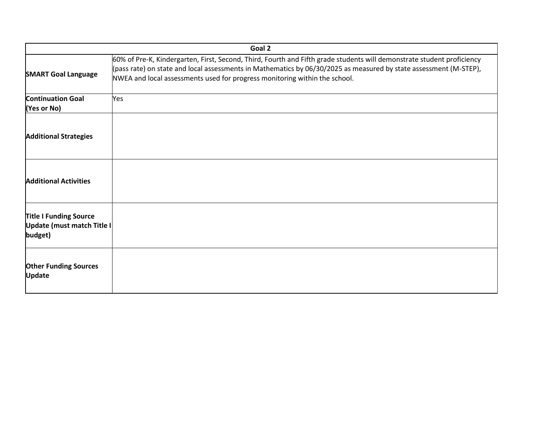| Goal 2                                                                 |                                                                                                                                                                                                                                                                                                                           |  |
|------------------------------------------------------------------------|---------------------------------------------------------------------------------------------------------------------------------------------------------------------------------------------------------------------------------------------------------------------------------------------------------------------------|--|
| <b>SMART Goal Language</b>                                             | 60% of Pre-K, Kindergarten, First, Second, Third, Fourth and Fifth grade students will demonstrate student proficiency<br>(pass rate) on state and local assessments in Mathematics by 06/30/2025 as measured by state assessment (M-STEP),<br>NWEA and local assessments used for progress monitoring within the school. |  |
| <b>Continuation Goal</b><br>(Yes or No)                                | Yes                                                                                                                                                                                                                                                                                                                       |  |
| <b>Additional Strategies</b>                                           |                                                                                                                                                                                                                                                                                                                           |  |
| <b>Additional Activities</b>                                           |                                                                                                                                                                                                                                                                                                                           |  |
| <b>Title I Funding Source</b><br>Update (must match Title I<br>budget) |                                                                                                                                                                                                                                                                                                                           |  |
| <b>Other Funding Sources</b><br><b>Update</b>                          |                                                                                                                                                                                                                                                                                                                           |  |